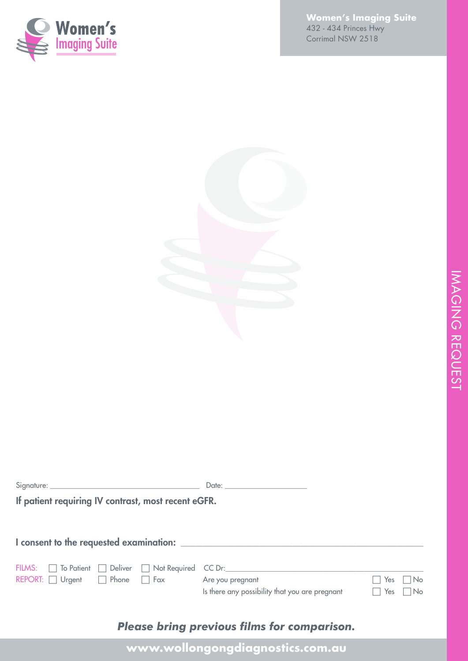

**Women's Imaging Suite** 432 - 434 Princes Hwy Corrimal NSW 2518

|                                                     | Date: the contract of the contract of the contract of the contract of the contract of the contract of the contract of the contract of the contract of the contract of the contract of the contract of the contract of the cont |                     |        |
|-----------------------------------------------------|--------------------------------------------------------------------------------------------------------------------------------------------------------------------------------------------------------------------------------|---------------------|--------|
| If patient requiring IV contrast, most recent eGFR. |                                                                                                                                                                                                                                |                     |        |
|                                                     |                                                                                                                                                                                                                                |                     |        |
|                                                     |                                                                                                                                                                                                                                |                     |        |
| FILMS:   To Patient   Deliver   Not Required        | $CC$ Dr:                                                                                                                                                                                                                       |                     |        |
| REPORT: $\Box$ Urgent $\Box$ Phone $\Box$ Fax       | Are you pregnant                                                                                                                                                                                                               | Yes                 | – I No |
|                                                     | Is there any possibility that you are pregnant                                                                                                                                                                                 | Yes<br>$\mathbf{L}$ | l INo  |
|                                                     |                                                                                                                                                                                                                                |                     |        |

## *Please bring previous films for comparison.*

**www.wollongongdiagnostics.com.au**